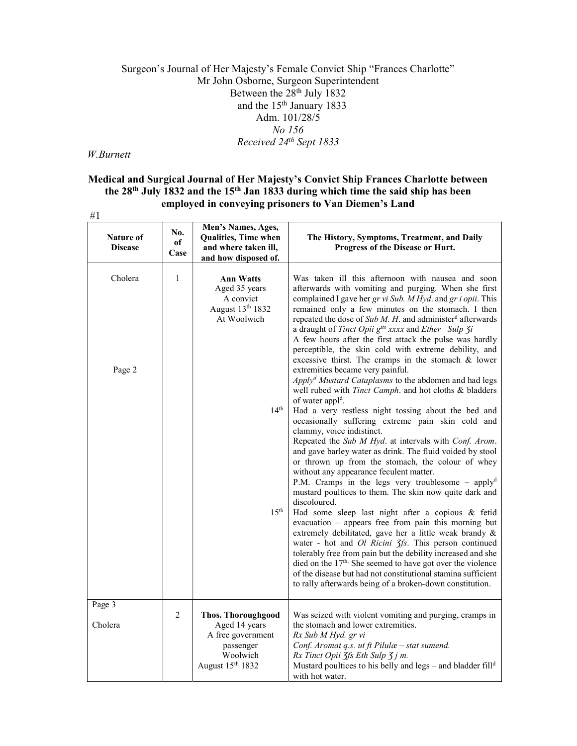# Surgeon's Journal of Her Majesty's Female Convict Ship "Frances Charlotte" Mr John Osborne, Surgeon Superintendent Between the  $28<sup>th</sup>$  July 1832 and the  $15<sup>th</sup>$  January 1833 Adm. 101/28/5 No 156 Received 24th Sept 1833

#### W.Burnett

# Medical and Surgical Journal of Her Majesty's Convict Ship Frances Charlotte between the 28th July 1832 and the 15th Jan 1833 during which time the said ship has been employed in conveying prisoners to Van Diemen's Land #1

| Nature of<br><b>Disease</b> | No.<br>of<br>Case | Men's Names, Ages,<br><b>Qualities, Time when</b><br>and where taken ill,<br>and how disposed of.            | The History, Symptoms, Treatment, and Daily<br>Progress of the Disease or Hurt.                                                                                                                                                                                                                                                                                                                                                                                                                                                                                                                                                                                                                                                                                                                                                                                                                                                                                                                                                                                                                                                                                                                           |
|-----------------------------|-------------------|--------------------------------------------------------------------------------------------------------------|-----------------------------------------------------------------------------------------------------------------------------------------------------------------------------------------------------------------------------------------------------------------------------------------------------------------------------------------------------------------------------------------------------------------------------------------------------------------------------------------------------------------------------------------------------------------------------------------------------------------------------------------------------------------------------------------------------------------------------------------------------------------------------------------------------------------------------------------------------------------------------------------------------------------------------------------------------------------------------------------------------------------------------------------------------------------------------------------------------------------------------------------------------------------------------------------------------------|
| Cholera                     | $\mathbf{1}$      | <b>Ann Watts</b><br>Aged 35 years<br>A convict<br>August 13th 1832<br>At Woolwich                            | Was taken ill this afternoon with nausea and soon<br>afterwards with vomiting and purging. When she first<br>complained I gave her gr vi Sub. M Hyd. and gr i opii. This<br>remained only a few minutes on the stomach. I then<br>repeated the dose of $Sub M. H.$ and administer <sup>d</sup> afterwards<br>a draught of Tinct Opii g <sup>tts</sup> xxxx and Ether Sulp 3i<br>A few hours after the first attack the pulse was hardly<br>perceptible, the skin cold with extreme debility, and<br>excessive thirst. The cramps in the stomach & lower                                                                                                                                                                                                                                                                                                                                                                                                                                                                                                                                                                                                                                                   |
| Page 2                      |                   | 14 <sup>th</sup><br>15 <sup>th</sup>                                                                         | extremities became very painful.<br>Apply <sup>d</sup> Mustard Cataplasms to the abdomen and had legs<br>well rubed with Tinct Camph. and hot cloths & bladders<br>of water appl <sup>d</sup> .<br>Had a very restless night tossing about the bed and<br>occasionally suffering extreme pain skin cold and<br>clammy, voice indistinct.<br>Repeated the Sub M Hyd. at intervals with Conf. Arom.<br>and gave barley water as drink. The fluid voided by stool<br>or thrown up from the stomach, the colour of whey<br>without any appearance feculent matter.<br>P.M. Cramps in the legs very troublesome - applyd<br>mustard poultices to them. The skin now quite dark and<br>discoloured.<br>Had some sleep last night after a copious & fetid<br>evacuation - appears free from pain this morning but<br>extremely debilitated, gave her a little weak brandy &<br>water - hot and <i>Ol Ricini 3fs</i> . This person continued<br>tolerably free from pain but the debility increased and she<br>died on the 17 <sup>th.</sup> She seemed to have got over the violence<br>of the disease but had not constitutional stamina sufficient<br>to rally afterwards being of a broken-down constitution. |
| Page 3<br>Cholera           | 2                 | <b>Thos. Thoroughgood</b><br>Aged 14 years<br>A free government<br>passenger<br>Woolwich<br>August 15th 1832 | Was seized with violent vomiting and purging, cramps in<br>the stomach and lower extremities.<br>Rx Sub M Hyd. gr vi<br>Conf. Aromat q.s. ut ft Pilulæ - stat sumend.<br>Rx Tinct Opii 3fs Eth Sulp 3j m.<br>Mustard poultices to his belly and legs - and bladder fill <sup>d</sup><br>with hot water.                                                                                                                                                                                                                                                                                                                                                                                                                                                                                                                                                                                                                                                                                                                                                                                                                                                                                                   |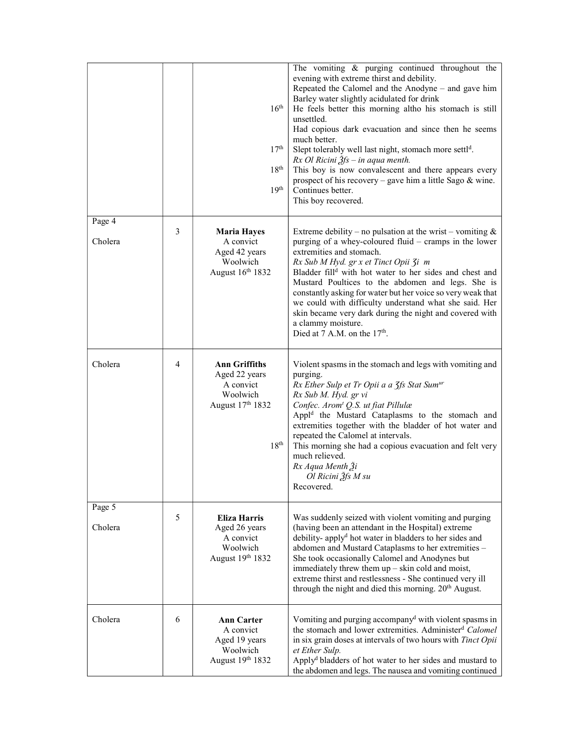|                   |                | 16 <sup>th</sup><br>17 <sup>th</sup><br>18 <sup>th</sup><br>19 <sup>th</sup>                           | The vomiting & purging continued throughout the<br>evening with extreme thirst and debility.<br>Repeated the Calomel and the Anodyne – and gave him<br>Barley water slightly acidulated for drink<br>He feels better this morning altho his stomach is still<br>unsettled.<br>Had copious dark evacuation and since then he seems<br>much better.<br>Slept tolerably well last night, stomach more settl <sup>d</sup> .<br>$Rx$ Ol Ricini $\tilde{g}$ fs – in aqua menth.<br>This boy is now convalescent and there appears every<br>prospect of his recovery – gave him a little Sago $\&$ wine.<br>Continues better.<br>This boy recovered. |
|-------------------|----------------|--------------------------------------------------------------------------------------------------------|-----------------------------------------------------------------------------------------------------------------------------------------------------------------------------------------------------------------------------------------------------------------------------------------------------------------------------------------------------------------------------------------------------------------------------------------------------------------------------------------------------------------------------------------------------------------------------------------------------------------------------------------------|
| Page 4<br>Cholera | 3              | <b>Maria Hayes</b><br>A convict<br>Aged 42 years<br>Woolwich<br>August 16th 1832                       | Extreme debility – no pulsation at the wrist – vomiting $\&$<br>purging of a whey-coloured fluid – cramps in the lower<br>extremities and stomach.<br>Rx Sub M Hyd. gr x et Tinct Opii 3i m<br>Bladder fill <sup>d</sup> with hot water to her sides and chest and<br>Mustard Poultices to the abdomen and legs. She is<br>constantly asking for water but her voice so very weak that<br>we could with difficulty understand what she said. Her<br>skin became very dark during the night and covered with<br>a clammy moisture.<br>Died at 7 A.M. on the $17th$ .                                                                           |
| Cholera           | $\overline{4}$ | <b>Ann Griffiths</b><br>Aged 22 years<br>A convict<br>Woolwich<br>August 17th 1832<br>18 <sup>th</sup> | Violent spasms in the stomach and legs with vomiting and<br>purging.<br>Rx Ether Sulp et Tr Opii a a 3fs Stat Sum <sup>ur</sup><br>Rx Sub M. Hyd. gr vi<br>Confec. Arom <sup>t</sup> Q.S. ut fiat Pillulæ<br>Appl <sup>d</sup> the Mustard Cataplasms to the stomach and<br>extremities together with the bladder of hot water and<br>repeated the Calomel at intervals.<br>This morning she had a copious evacuation and felt very<br>much relieved.<br>Rx Aqua Menth 3i<br>Ol Ricini 3fs M su<br>Recovered.                                                                                                                                 |
| Page 5<br>Cholera | 5              | <b>Eliza Harris</b><br>Aged 26 years<br>A convict<br>Woolwich<br>August 19th 1832                      | Was suddenly seized with violent vomiting and purging<br>(having been an attendant in the Hospital) extreme<br>debility- apply <sup>d</sup> hot water in bladders to her sides and<br>abdomen and Mustard Cataplasms to her extremities -<br>She took occasionally Calomel and Anodynes but<br>immediately threw them $up - skin$ cold and moist,<br>extreme thirst and restlessness - She continued very ill<br>through the night and died this morning. 20 <sup>th</sup> August.                                                                                                                                                            |
| Cholera           | 6              | <b>Ann Carter</b><br>A convict<br>Aged 19 years<br>Woolwich<br>August 19th 1832                        | Vomiting and purging accompany <sup>d</sup> with violent spasms in<br>the stomach and lower extremities. Administer <sup>d</sup> Calomel<br>in six grain doses at intervals of two hours with Tinct Opii<br>et Ether Sulp.<br>Apply <sup>d</sup> bladders of hot water to her sides and mustard to<br>the abdomen and legs. The nausea and vomiting continued                                                                                                                                                                                                                                                                                 |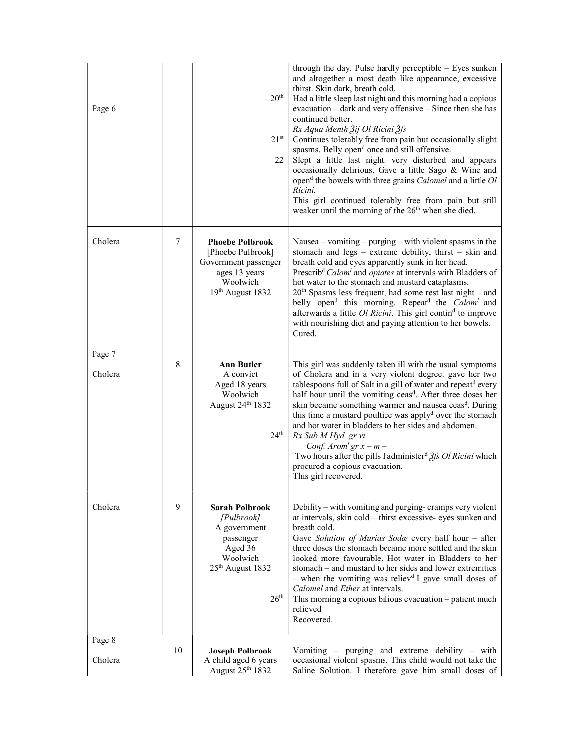| Page 6            |    | 20 <sup>th</sup><br>$21^{st}$<br>22                                                                                                         | through the day. Pulse hardly perceptible - Eyes sunken<br>and altogether a most death like appearance, excessive<br>thirst. Skin dark, breath cold.<br>Had a little sleep last night and this morning had a copious<br>evacuation - dark and very offensive - Since then she has<br>continued better.<br>Rx Aqua Menth Ѯij Ol Ricini Ѯfs<br>Continues tolerably free from pain but occasionally slight<br>spasms. Belly open <sup>d</sup> once and still offensive.<br>Slept a little last night, very disturbed and appears<br>occasionally delirious. Gave a little Sago & Wine and<br>open <sup>d</sup> the bowels with three grains <i>Calomel</i> and a little <i>Ol</i><br>Ricini.<br>This girl continued tolerably free from pain but still<br>weaker until the morning of the 26 <sup>th</sup> when she died. |
|-------------------|----|---------------------------------------------------------------------------------------------------------------------------------------------|------------------------------------------------------------------------------------------------------------------------------------------------------------------------------------------------------------------------------------------------------------------------------------------------------------------------------------------------------------------------------------------------------------------------------------------------------------------------------------------------------------------------------------------------------------------------------------------------------------------------------------------------------------------------------------------------------------------------------------------------------------------------------------------------------------------------|
| Cholera           | 7  | <b>Phoebe Polbrook</b><br>[Phoebe Pulbrook]<br>Government passenger<br>ages 13 years<br>Woolwich<br>19th August 1832                        | Nausea – vomiting – purging – with violent spasms in the<br>stomach and $legs - extreme$ debility, thirst $-$ skin and<br>breath cold and eyes apparently sunk in her head.<br>Prescrib <sup>d</sup> Calom <sup>1</sup> and opiates at intervals with Bladders of<br>hot water to the stomach and mustard cataplasms.<br>$20th$ Spasms less frequent, had some rest last night – and<br>belly open <sup>d</sup> this morning. Repeat <sup>d</sup> the <i>Calom<sup>1</sup></i> and<br>afterwards a little Ol Ricini. This girl contin <sup>d</sup> to improve<br>with nourishing diet and paying attention to her bowels.<br>Cured.                                                                                                                                                                                    |
| Page 7<br>Cholera | 8  | <b>Ann Butler</b><br>A convict<br>Aged 18 years<br>Woolwich<br>August 24th 1832<br>24 <sup>th</sup>                                         | This girl was suddenly taken ill with the usual symptoms<br>of Cholera and in a very violent degree. gave her two<br>tablespoons full of Salt in a gill of water and repeatd every<br>half hour until the vomiting ceas <sup>d</sup> . After three doses her<br>skin became something warmer and nausea ceasd. During<br>this time a mustard poultice was apply <sup>d</sup> over the stomach<br>and hot water in bladders to her sides and abdomen.<br>Rx Sub M Hyd. gr vi<br>Conf. Arom <sup>t</sup> $gr x - m -$<br>Two hours after the pills I administer <sup>d</sup> $\tilde{\beta}$ fs Ol Ricini which<br>procured a copious evacuation.<br>This girl recovered.                                                                                                                                                |
| Cholera           | 9  | <b>Sarah Polbrook</b><br>[Pulbrook]<br>A government<br>passenger<br>Aged 36<br>Woolwich<br>25 <sup>th</sup> August 1832<br>26 <sup>th</sup> | Debility – with vomiting and purging-cramps very violent<br>at intervals, skin cold - thirst excessive- eyes sunken and<br>breath cold.<br>Gave Solution of Murias Sodæ every half hour - after<br>three doses the stomach became more settled and the skin<br>looked more favourable. Hot water in Bladders to her<br>stomach – and mustard to her sides and lower extremities<br>- when the vomiting was reliev <sup>d</sup> I gave small doses of<br>Calomel and Ether at intervals.<br>This morning a copious bilious evacuation – patient much<br>relieved<br>Recovered.                                                                                                                                                                                                                                          |
| Page 8<br>Cholera | 10 | <b>Joseph Polbrook</b><br>A child aged 6 years<br>August 25th 1832                                                                          | Vomiting - purging and extreme debility - with<br>occasional violent spasms. This child would not take the<br>Saline Solution. I therefore gave him small doses of                                                                                                                                                                                                                                                                                                                                                                                                                                                                                                                                                                                                                                                     |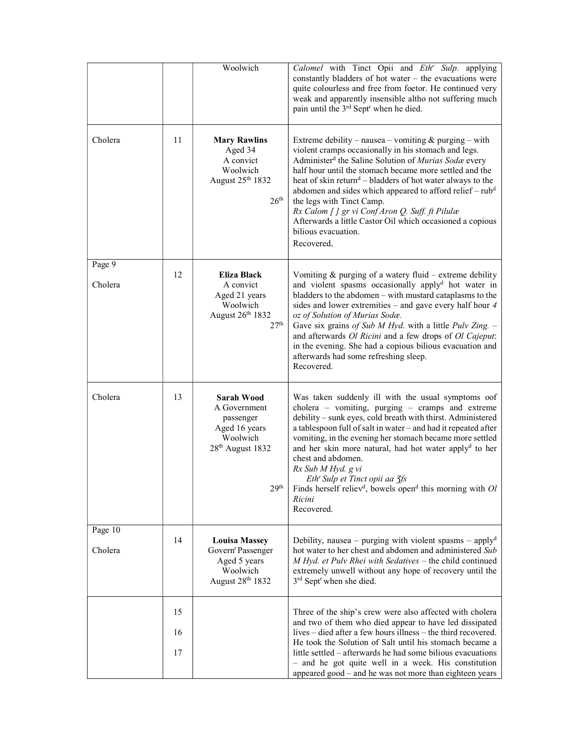|                    |                | Woolwich                                                                                                                        | Calomel with Tinct Opii and Eth <sup>r</sup> Sulp. applying<br>constantly bladders of hot water - the evacuations were<br>quite colourless and free from foetor. He continued very<br>weak and apparently insensible altho not suffering much<br>pain until the 3 <sup>rd</sup> Sept <sup>r</sup> when he died.                                                                                                                                                                                                                                                                          |
|--------------------|----------------|---------------------------------------------------------------------------------------------------------------------------------|------------------------------------------------------------------------------------------------------------------------------------------------------------------------------------------------------------------------------------------------------------------------------------------------------------------------------------------------------------------------------------------------------------------------------------------------------------------------------------------------------------------------------------------------------------------------------------------|
| Cholera            | 11             | <b>Mary Rawlins</b><br>Aged 34<br>A convict<br>Woolwich<br>August 25th 1832<br>26 <sup>th</sup>                                 | Extreme debility – nausea – vomiting $&$ purging – with<br>violent cramps occasionally in his stomach and legs.<br>Administer <sup>d</sup> the Saline Solution of <i>Murias Soda</i> every<br>half hour until the stomach became more settled and the<br>heat of skin return <sup>d</sup> – bladders of hot water always to the<br>abdomen and sides which appeared to afford relief - rub <sup>d</sup><br>the legs with Tinct Camp.<br>Rx Calom [] gr vi Conf Aron Q. Suff. ft Pilulæ<br>Afterwards a little Castor Oil which occasioned a copious<br>bilious evacuation.<br>Recovered. |
| Page 9<br>Cholera  | 12             | Eliza Black<br>A convict<br>Aged 21 years<br>Woolwich<br>August 26th 1832<br>27 <sup>th</sup>                                   | Vomiting $&$ purging of a watery fluid – extreme debility<br>and violent spasms occasionally apply <sup>d</sup> hot water in<br>bladders to the abdomen - with mustard cataplasms to the<br>sides and lower extremities - and gave every half hour 4<br>oz of Solution of Murias Sodæ.<br>Gave six grains of Sub $M$ Hyd. with a little Pulv Zing. -<br>and afterwards Ol Ricini and a few drops of Ol Cajeput:<br>in the evening. She had a copious bilious evacuation and<br>afterwards had some refreshing sleep.<br>Recovered.                                                       |
| Cholera            | 13             | <b>Sarah Wood</b><br>A Government<br>passenger<br>Aged 16 years<br>Woolwich<br>28 <sup>th</sup> August 1832<br>29 <sup>th</sup> | Was taken suddenly ill with the usual symptoms oof<br>cholera - vomiting, purging - cramps and extreme<br>debility - sunk eyes, cold breath with thirst. Administered<br>a tablespoon full of salt in water - and had it repeated after<br>vomiting, in the evening her stomach became more settled<br>and her skin more natural, had hot water applyd to her<br>chest and abdomen.<br>Rx Sub M Hyd. g vi<br>Eth' Sulp et Tinct opii aa 3fs<br>Finds herself reliev <sup>d</sup> , bowels open <sup>d</sup> this morning with $Ol$<br>Ricini<br>Recovered.                               |
| Page 10<br>Cholera | 14             | <b>Louisa Massey</b><br>Govern <sup>t</sup> Passenger<br>Aged 5 years<br>Woolwich<br>August 28th 1832                           | Debility, nausea – purging with violent spasms – applyd<br>hot water to her chest and abdomen and administered Sub<br>M Hyd. et Pulv Rhei with Sedatives - the child continued<br>extremely unwell without any hope of recovery until the<br>3 <sup>rd</sup> Sept <sup>r</sup> when she died.                                                                                                                                                                                                                                                                                            |
|                    | 15<br>16<br>17 |                                                                                                                                 | Three of the ship's crew were also affected with cholera<br>and two of them who died appear to have led dissipated<br>lives – died after a few hours illness – the third recovered.<br>He took the Solution of Salt until his stomach became a<br>little settled – afterwards he had some bilious evacuations<br>- and he got quite well in a week. His constitution<br>appeared good – and he was not more than eighteen years                                                                                                                                                          |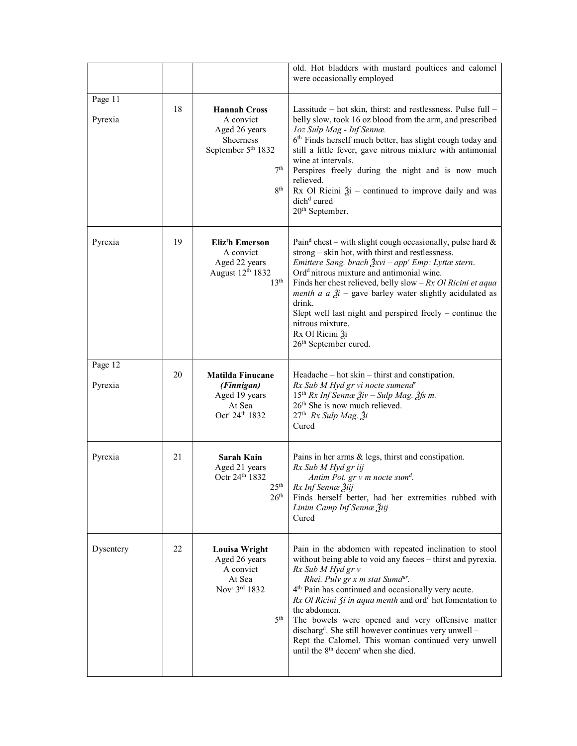|                    |    |                                                                                                                                        | old. Hot bladders with mustard poultices and calomel<br>were occasionally employed                                                                                                                                                                                                                                                                                                                                                                                                                                                                                                                           |
|--------------------|----|----------------------------------------------------------------------------------------------------------------------------------------|--------------------------------------------------------------------------------------------------------------------------------------------------------------------------------------------------------------------------------------------------------------------------------------------------------------------------------------------------------------------------------------------------------------------------------------------------------------------------------------------------------------------------------------------------------------------------------------------------------------|
| Page 11<br>Pyrexia | 18 | <b>Hannah Cross</b><br>A convict<br>Aged 26 years<br>Sheerness<br>September 5 <sup>th</sup> 1832<br>7 <sup>th</sup><br>8 <sup>th</sup> | Lassitude – hot skin, thirst: and restlessness. Pulse full –<br>belly slow, took 16 oz blood from the arm, and prescribed<br>loz Sulp Mag - Inf Sennæ.<br>6th Finds herself much better, has slight cough today and<br>still a little fever, gave nitrous mixture with antimonial<br>wine at intervals.<br>Perspires freely during the night and is now much<br>relieved.<br>Rx Ol Ricini $\tilde{a}$ i – continued to improve daily and was<br>dich <sup>d</sup> cured<br>20 <sup>th</sup> September.                                                                                                       |
| Pyrexia            | 19 | Eliz <sup>t</sup> h Emerson<br>A convict<br>Aged 22 years<br>August 12th 1832<br>13 <sup>th</sup>                                      | Pain <sup>d</sup> chest – with slight cough occasionally, pulse hard $\&$<br>strong - skin hot, with thirst and restlessness.<br>Emittere Sang. brach $\frac{3}{2}xvi - app$ Emp: Lyttæ stern.<br>Ord <sup>d</sup> nitrous mixture and antimonial wine.<br>Finds her chest relieved, belly slow – $Rx$ Ol Ricini et aqua<br>menth a $a \tilde{a}$ = gave barley water slightly acidulated as<br>drink.<br>Slept well last night and perspired freely $-$ continue the<br>nitrous mixture.<br>Rx Ol Ricini 3i<br>26 <sup>th</sup> September cured.                                                            |
| Page 12<br>Pyrexia | 20 | <b>Matilda Finucane</b><br>(Finnigan)<br>Aged 19 years<br>At Sea<br>Oct <sup>r</sup> 24 <sup>th</sup> 1832                             | $Headache - hot skin - thrust and constitution.$<br>Rx Sub M Hyd gr vi nocte sumend"<br>$15th Rx Inf$ Sennæ $\tilde{2}iv$ – Sulp Mag. $\tilde{2}$ fs m.<br>26th She is now much relieved.<br>27 <sup>th</sup> Rx Sulp Mag. Ži<br>Cured                                                                                                                                                                                                                                                                                                                                                                       |
| Pyrexia            | 21 | <b>Sarah Kain</b><br>Aged 21 years<br>Octr 24th 1832<br>25 <sup>th</sup><br>26 <sup>th</sup>                                           | Pains in her arms & legs, thirst and constipation.<br>Rx Sub M Hyd gr iij<br>Antim Pot. gr v m nocte sum <sup>d</sup> .<br>Rx Inf Sennæ Žiij<br>Finds herself better, had her extremities rubbed with<br>Linim Camp Inf Sennæ Žiij<br>Cured                                                                                                                                                                                                                                                                                                                                                                  |
| Dysentery          | 22 | Louisa Wright<br>Aged 26 years<br>A convict<br>At Sea<br>Nov <sup>r</sup> 3rd 1832<br>5 <sup>th</sup>                                  | Pain in the abdomen with repeated inclination to stool<br>without being able to void any faeces - thirst and pyrexia.<br>Rx Sub M Hyd gr v<br>Rhei. Pulv gr x m stat Sumd <sup>ur</sup> .<br>4 <sup>th</sup> Pain has continued and occasionally very acute.<br>$Rx$ Ol Ricini $\zeta$ i in aqua menth and ord <sup>d</sup> hot fomentation to<br>the abdomen.<br>The bowels were opened and very offensive matter<br>discharg <sup>d</sup> . She still however continues very unwell -<br>Rept the Calomel. This woman continued very unwell<br>until the 8 <sup>th</sup> decem <sup>r</sup> when she died. |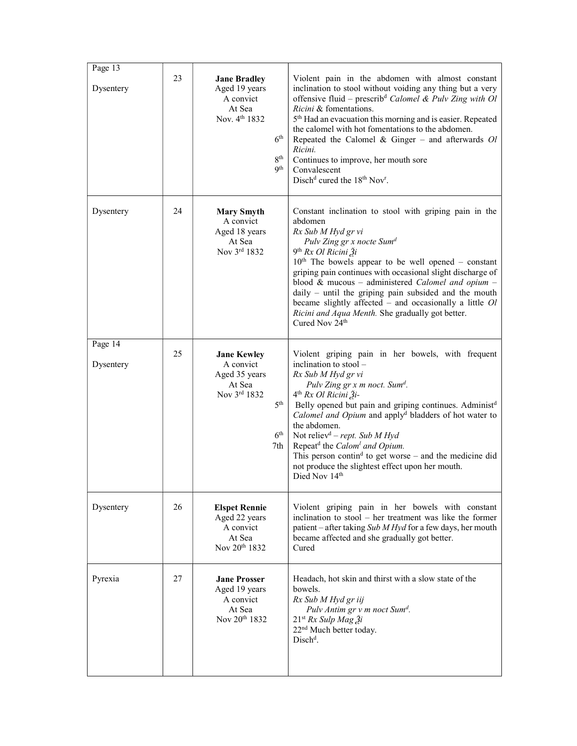| Page 13              |    |                                                                                                                                              |                                                                                                                                                                                                                                                                                                                                                                                                                                                                                                                                                                                                 |
|----------------------|----|----------------------------------------------------------------------------------------------------------------------------------------------|-------------------------------------------------------------------------------------------------------------------------------------------------------------------------------------------------------------------------------------------------------------------------------------------------------------------------------------------------------------------------------------------------------------------------------------------------------------------------------------------------------------------------------------------------------------------------------------------------|
| Dysentery            | 23 | <b>Jane Bradley</b><br>Aged 19 years<br>A convict<br>At Sea<br>Nov. 4 <sup>th</sup> 1832<br>6 <sup>th</sup><br>8 <sup>th</sup><br><b>9th</b> | Violent pain in the abdomen with almost constant<br>inclination to stool without voiding any thing but a very<br>offensive fluid – prescrib <sup>d</sup> Calomel & Pulv Zing with Ol<br>Ricini & fomentations.<br>5 <sup>th</sup> Had an evacuation this morning and is easier. Repeated<br>the calomel with hot fomentations to the abdomen.<br>Repeated the Calomel & Ginger – and afterwards $Ol$<br>Ricini.<br>Continues to improve, her mouth sore<br>Convalescent<br>Disch <sup>d</sup> cured the 18 <sup>th</sup> Nov <sup>r</sup> .                                                     |
| Dysentery            | 24 | <b>Mary Smyth</b><br>A convict<br>Aged 18 years<br>At Sea<br>Nov 3rd 1832                                                                    | Constant inclination to stool with griping pain in the<br>abdomen<br>Rx Sub M Hyd gr vi<br>Pulv Zing gr x nocte Sum <sup>d</sup><br>9 <sup>th</sup> Rx Ol Ricini $\tilde{A}$ i<br>$10th$ The bowels appear to be well opened – constant<br>griping pain continues with occasional slight discharge of<br>blood & mucous - administered Calomel and opium -<br>$daily$ – until the griping pain subsided and the mouth<br>became slightly affected $-$ and occasionally a little $Ol$<br>Ricini and Aqua Menth. She gradually got better.<br>Cured Nov 24 <sup>th</sup>                          |
| Page 14<br>Dysentery | 25 | <b>Jane Kewley</b><br>A convict<br>Aged 35 years<br>At Sea<br>Nov 3rd 1832<br>5 <sup>th</sup><br>6 <sup>th</sup><br>7th                      | Violent griping pain in her bowels, with frequent<br>inclination to stool -<br>Rx Sub M Hyd gr vi<br>Pulv Zing gr x m noct. Sum <sup>d</sup> .<br>4 <sup>th</sup> Rx Ol Ricini Ži-<br>Belly opened but pain and griping continues. Administ <sup>d</sup><br>Calomel and Opium and apply <sup>d</sup> bladders of hot water to<br>the abdomen.<br>Not reliev <sup>d</sup> – rept. Sub M Hyd<br>Repeat <sup>d</sup> the Calom <sup>1</sup> and Opium.<br>This person contin <sup>d</sup> to get worse – and the medicine did<br>not produce the slightest effect upon her mouth.<br>Died Nov 14th |
| Dysentery            | 26 | <b>Elspet Rennie</b><br>Aged 22 years<br>A convict<br>At Sea<br>Nov 20th 1832                                                                | Violent griping pain in her bowels with constant<br>inclination to stool – her treatment was like the former<br>patient – after taking Sub M Hyd for a few days, her mouth<br>became affected and she gradually got better.<br>Cured                                                                                                                                                                                                                                                                                                                                                            |
| Pyrexia              | 27 | <b>Jane Prosser</b><br>Aged 19 years<br>A convict<br>At Sea<br>Nov 20 <sup>th</sup> 1832                                                     | Headach, hot skin and thirst with a slow state of the<br>bowels.<br>Rx Sub M Hyd gr iij<br>Pulv Antim gr v m noct Sum <sup>d</sup> .<br>$21^{st}$ Rx Sulp Mag $3i$<br>22 <sup>nd</sup> Much better today.<br>Disch <sup>d</sup> .                                                                                                                                                                                                                                                                                                                                                               |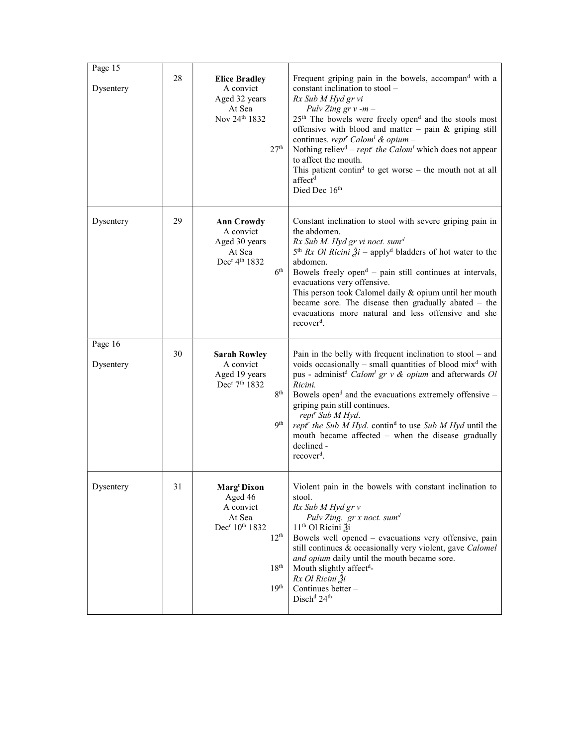| Page 15<br>Dysentery | 28 | <b>Elice Bradley</b><br>A convict<br>Aged 32 years<br>At Sea<br>Nov 24th 1832<br>27 <sup>th</sup>                                                          | Frequent griping pain in the bowels, accompand with a<br>constant inclination to stool -<br>Rx Sub M Hyd gr vi<br>Pulv Zing $gr v - m -$<br>25 <sup>th</sup> The bowels were freely open <sup>d</sup> and the stools most<br>offensive with blood and matter - pain $\&$ griping still<br>continues. rept <sup>r</sup> Calom <sup>1</sup> & opium –<br>Nothing reliev <sup>d</sup> – rept <sup>r</sup> the Calom <sup>1</sup> which does not appear<br>to affect the mouth.<br>This patient contin <sup>d</sup> to get worse – the mouth not at all<br>affect <sup>d</sup><br>Died Dec 16th |
|----------------------|----|------------------------------------------------------------------------------------------------------------------------------------------------------------|---------------------------------------------------------------------------------------------------------------------------------------------------------------------------------------------------------------------------------------------------------------------------------------------------------------------------------------------------------------------------------------------------------------------------------------------------------------------------------------------------------------------------------------------------------------------------------------------|
| Dysentery            | 29 | <b>Ann Crowdy</b><br>A convict<br>Aged 30 years<br>At Sea<br>Dec <sup>r</sup> 4 <sup>th</sup> 1832<br>6 <sup>th</sup>                                      | Constant inclination to stool with severe griping pain in<br>the abdomen.<br>Rx Sub M. Hyd gr vi noct. sum <sup>d</sup><br>$5th Rx$ <i>Ol Ricini</i> $2i$ – apply <sup>d</sup> bladders of hot water to the<br>abdomen.<br>Bowels freely open <sup>d</sup> – pain still continues at intervals,<br>evacuations very offensive.<br>This person took Calomel daily & opium until her mouth<br>became sore. The disease then gradually abated $-$ the<br>evacuations more natural and less offensive and she<br>recover <sup>d</sup> .                                                         |
| Page 16<br>Dysentery | 30 | <b>Sarah Rowley</b><br>A convict<br>Aged 19 years<br>Dec <sup>r</sup> 7 <sup>th</sup> 1832<br>8 <sup>th</sup><br><b>9th</b>                                | Pain in the belly with frequent inclination to $stool - and$<br>voids occasionally – small quantities of blood $mixd$ with<br>pus - administ <sup>d</sup> Calom <sup>1</sup> gr v & opium and afterwards Ol<br>Ricini.<br>Bowels open <sup>d</sup> and the evacuations extremely offensive -<br>griping pain still continues.<br>rept' Sub M Hyd.<br>rept" the Sub M Hyd. contin <sup>d</sup> to use Sub M Hyd until the<br>mouth became affected - when the disease gradually<br>declined -<br>recover <sup>d</sup> .                                                                      |
| Dysentery            | 31 | <b>Marg' Dixon</b><br>Aged 46<br>A convict<br>At Sea<br>Dec <sup>r</sup> 10 <sup>th</sup> 1832<br>12 <sup>th</sup><br>18 <sup>th</sup><br>19 <sup>th</sup> | Violent pain in the bowels with constant inclination to<br>stool.<br>Rx Sub M Hyd gr v<br>Pulv Zing. gr x noct. sum <sup>d</sup><br>11 <sup>th</sup> Ol Ricini Ѯi<br>Bowels well opened – evacuations very offensive, pain<br>still continues & occasionally very violent, gave Calomel<br>and opium daily until the mouth became sore.<br>Mouth slightly affect <sup>d</sup> -<br>Rx Ol Ricini Ѯi<br>Continues better -<br>Disch <sup>d</sup> 24 <sup>th</sup>                                                                                                                             |